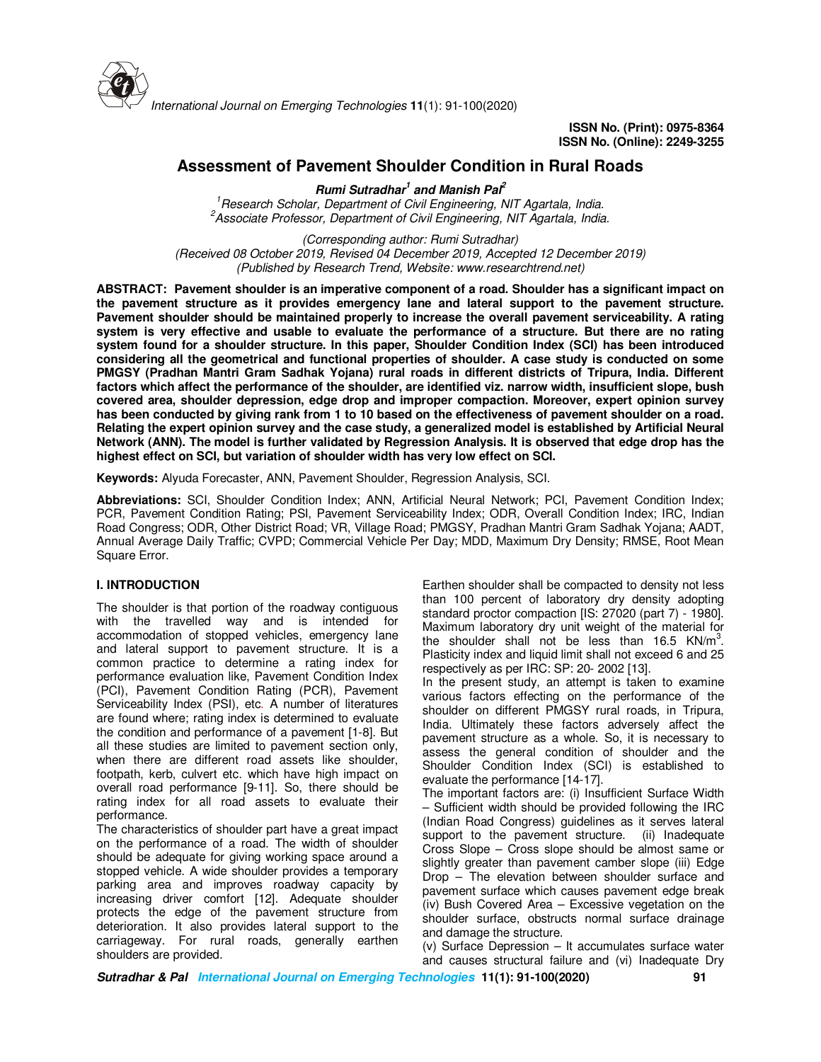

# **Assessment of Pavement Shoulder Condition in Rural Roads**

**Rumi Sutradhar<sup>1</sup> and Manish Pal<sup>2</sup>** *<sup>1</sup>Research Scholar, Department of Civil Engineering, NIT Agartala, India. <sup>2</sup>Associate Professor, Department of Civil Engineering, NIT Agartala, India.* 

*(Corresponding author: Rumi Sutradhar) (Received 08 October 2019, Revised 04 December 2019, Accepted 12 December 2019) (Published by Research Trend, Website: www.researchtrend.net)* 

**ABSTRACT: Pavement shoulder is an imperative component of a road. Shoulder has a significant impact on the pavement structure as it provides emergency lane and lateral support to the pavement structure. Pavement shoulder should be maintained properly to increase the overall pavement serviceability. A rating system is very effective and usable to evaluate the performance of a structure. But there are no rating system found for a shoulder structure. In this paper, Shoulder Condition Index (SCI) has been introduced considering all the geometrical and functional properties of shoulder. A case study is conducted on some PMGSY (Pradhan Mantri Gram Sadhak Yojana) rural roads in different districts of Tripura, India. Different factors which affect the performance of the shoulder, are identified viz. narrow width, insufficient slope, bush covered area, shoulder depression, edge drop and improper compaction. Moreover, expert opinion survey has been conducted by giving rank from 1 to 10 based on the effectiveness of pavement shoulder on a road. Relating the expert opinion survey and the case study, a generalized model is established by Artificial Neural Network (ANN). The model is further validated by Regression Analysis. It is observed that edge drop has the highest effect on SCI, but variation of shoulder width has very low effect on SCI.** 

**Keywords:** Alyuda Forecaster, ANN, Pavement Shoulder, Regression Analysis, SCI.

**Abbreviations:** SCI, Shoulder Condition Index; ANN, Artificial Neural Network; PCI, Pavement Condition Index; PCR, Pavement Condition Rating; PSI, Pavement Serviceability Index; ODR, Overall Condition Index; IRC, Indian Road Congress; ODR, Other District Road; VR, Village Road; PMGSY, Pradhan Mantri Gram Sadhak Yojana; AADT, Annual Average Daily Traffic; CVPD; Commercial Vehicle Per Day; MDD, Maximum Dry Density; RMSE, Root Mean Square Error.

### **I. INTRODUCTION**

The shoulder is that portion of the roadway contiguous with the travelled way and is intended for accommodation of stopped vehicles, emergency lane and lateral support to pavement structure. It is a common practice to determine a rating index for performance evaluation like, Pavement Condition Index (PCI), Pavement Condition Rating (PCR), Pavement Serviceability Index (PSI), etc. A number of literatures are found where; rating index is determined to evaluate the condition and performance of a pavement [1-8]. But all these studies are limited to pavement section only, when there are different road assets like shoulder, footpath, kerb, culvert etc. which have high impact on overall road performance [9-11]. So, there should be rating index for all road assets to evaluate their performance.

The characteristics of shoulder part have a great impact on the performance of a road. The width of shoulder should be adequate for giving working space around a stopped vehicle. A wide shoulder provides a temporary parking area and improves roadway capacity by increasing driver comfort [12]. Adequate shoulder protects the edge of the pavement structure from deterioration. It also provides lateral support to the carriageway. For rural roads, generally earthen shoulders are provided.

Earthen shoulder shall be compacted to density not less than 100 percent of laboratory dry density adopting standard proctor compaction [IS: 27020 (part 7) - 1980]. Maximum laboratory dry unit weight of the material for the shoulder shall not be less than 16.5  $KN/m^3$ . Plasticity index and liquid limit shall not exceed 6 and 25 respectively as per IRC: SP: 20- 2002 [13].

In the present study, an attempt is taken to examine various factors effecting on the performance of the shoulder on different PMGSY rural roads, in Tripura, India. Ultimately these factors adversely affect the pavement structure as a whole. So, it is necessary to assess the general condition of shoulder and the Shoulder Condition Index (SCI) is established to evaluate the performance [14-17].

The important factors are: (i) Insufficient Surface Width – Sufficient width should be provided following the IRC (Indian Road Congress) guidelines as it serves lateral support to the pavement structure. (ii) Inadequate Cross Slope – Cross slope should be almost same or slightly greater than pavement camber slope (iii) Edge Drop – The elevation between shoulder surface and pavement surface which causes pavement edge break (iv) Bush Covered Area – Excessive vegetation on the shoulder surface, obstructs normal surface drainage and damage the structure.

(v) Surface Depression – It accumulates surface water and causes structural failure and (vi) Inadequate Dry

**Sutradhar & Pal International Journal on Emerging Technologies 11(1): 91-100(2020) 91**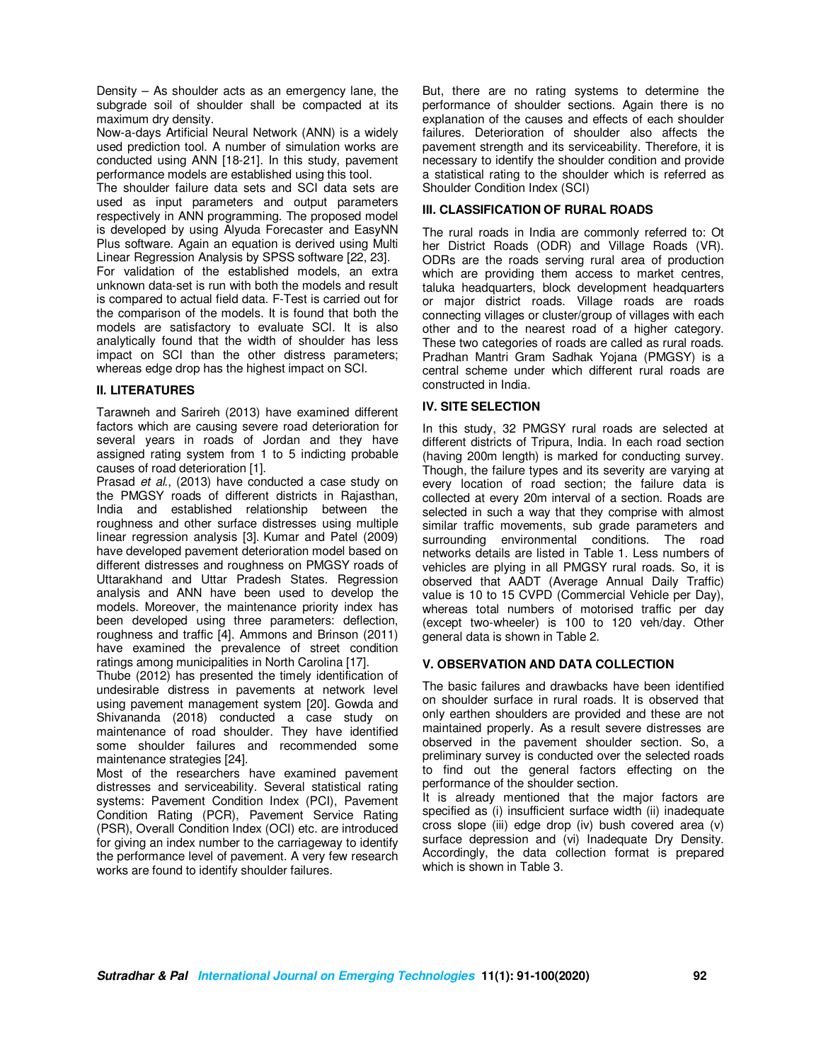Density  $-$  As shoulder acts as an emergency lane, the subgrade soil of shoulder shall be compacted at its maximum dry density.

Now-a-days Artificial Neural Network (ANN) is a widely used prediction tool. A number of simulation works are conducted using ANN [18-21]. In this study, pavement performance models are established using this tool.

The shoulder failure data sets and SCI data sets are used as input parameters and output parameters respectively in ANN programming. The proposed model is developed by using Alyuda Forecaster and EasyNN Plus software. Again an equation is derived using Multi Linear Regression Analysis by SPSS software [22, 23].

For validation of the established models, an extra unknown data-set is run with both the models and result is compared to actual field data. F-Test is carried out for the comparison of the models. It is found that both the models are satisfactory to evaluate SCI. It is also analytically found that the width of shoulder has less impact on SCI than the other distress parameters; whereas edge drop has the highest impact on SCI.

## **II. LITERATURES**

Tarawneh and Sarireh (2013) have examined different factors which are causing severe road deterioration for several years in roads of Jordan and they have assigned rating system from 1 to 5 indicting probable causes of road deterioration [1].

Prasad *et al*., (2013) have conducted a case study on the PMGSY roads of different districts in Rajasthan, India and established relationship between the roughness and other surface distresses using multiple linear regression analysis [3]. Kumar and Patel (2009) have developed pavement deterioration model based on different distresses and roughness on PMGSY roads of Uttarakhand and Uttar Pradesh States. Regression analysis and ANN have been used to develop the models. Moreover, the maintenance priority index has been developed using three parameters: deflection, roughness and traffic [4]. Ammons and Brinson (2011) have examined the prevalence of street condition ratings among municipalities in North Carolina [17].

Thube (2012) has presented the timely identification of undesirable distress in pavements at network level using pavement management system [20]. Gowda and Shivananda (2018) conducted a case study on maintenance of road shoulder. They have identified some shoulder failures and recommended some maintenance strategies [24].

Most of the researchers have examined pavement distresses and serviceability. Several statistical rating systems: Pavement Condition Index (PCI), Pavement Condition Rating (PCR), Pavement Service Rating (PSR), Overall Condition Index (OCI) etc. are introduced for giving an index number to the carriageway to identify the performance level of pavement. A very few research works are found to identify shoulder failures.

But, there are no rating systems to determine the performance of shoulder sections. Again there is no explanation of the causes and effects of each shoulder failures. Deterioration of shoulder also affects the pavement strength and its serviceability. Therefore, it is necessary to identify the shoulder condition and provide a statistical rating to the shoulder which is referred as Shoulder Condition Index (SCI)

## **III. CLASSIFICATION OF RURAL ROADS**

The rural roads in India are commonly referred to: Ot her District Roads (ODR) and Village Roads (VR). ODRs are the roads serving rural area of production which are providing them access to market centres, taluka headquarters, block development headquarters or major district roads. Village roads are roads connecting villages or cluster/group of villages with each other and to the nearest road of a higher category. These two categories of roads are called as rural roads. Pradhan Mantri Gram Sadhak Yojana (PMGSY) is a central scheme under which different rural roads are constructed in India.

### **IV. SITE SELECTION**

In this study, 32 PMGSY rural roads are selected at different districts of Tripura, India. In each road section (having 200m length) is marked for conducting survey. Though, the failure types and its severity are varying at every location of road section; the failure data is collected at every 20m interval of a section. Roads are selected in such a way that they comprise with almost similar traffic movements, sub grade parameters and surrounding environmental conditions. The road networks details are listed in Table 1. Less numbers of vehicles are plying in all PMGSY rural roads. So, it is observed that AADT (Average Annual Daily Traffic) value is 10 to 15 CVPD (Commercial Vehicle per Day), whereas total numbers of motorised traffic per day (except two-wheeler) is 100 to 120 veh/day. Other general data is shown in Table 2.

## **V. OBSERVATION AND DATA COLLECTION**

The basic failures and drawbacks have been identified on shoulder surface in rural roads. It is observed that only earthen shoulders are provided and these are not maintained properly. As a result severe distresses are observed in the pavement shoulder section. So, a preliminary survey is conducted over the selected roads to find out the general factors effecting on the performance of the shoulder section.

It is already mentioned that the major factors are specified as (i) insufficient surface width (ii) inadequate cross slope (iii) edge drop (iv) bush covered area (v) surface depression and (vi) Inadequate Dry Density. Accordingly, the data collection format is prepared which is shown in Table 3.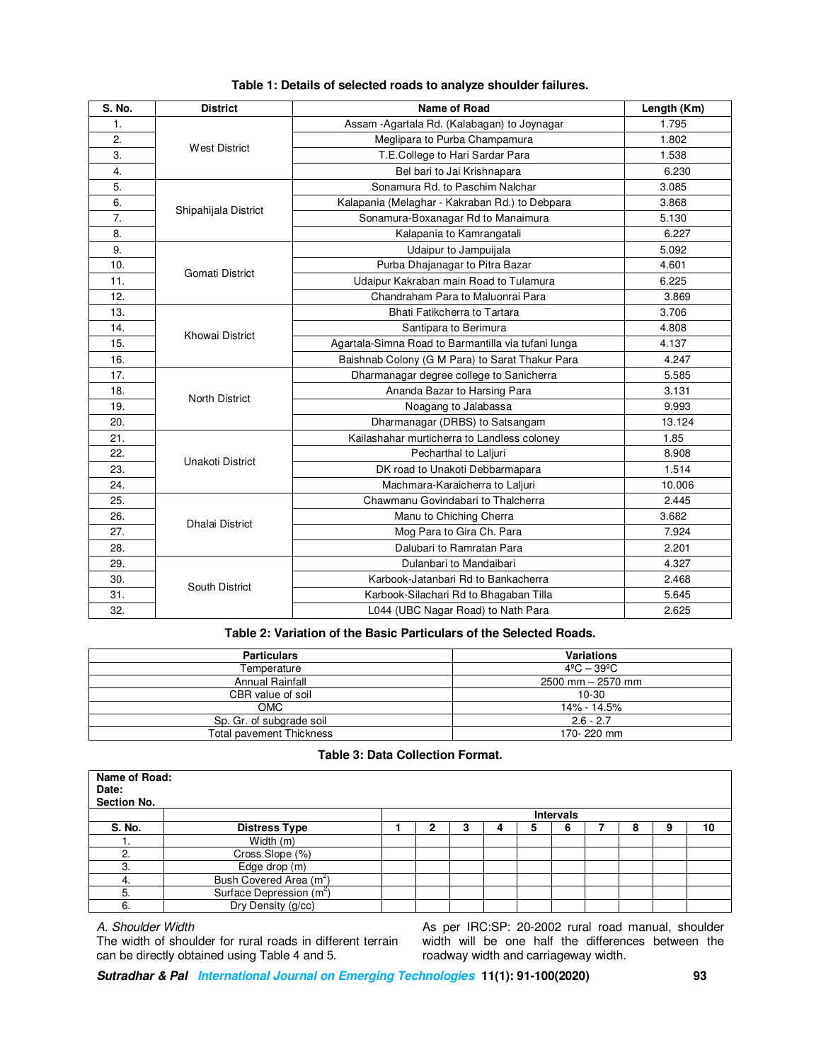| S. No. | <b>District</b>        | <b>Name of Road</b>                                 | Length (Km) |
|--------|------------------------|-----------------------------------------------------|-------------|
| 1.     |                        | Assam - Agartala Rd. (Kalabagan) to Joynagar        | 1.795       |
| 2.     | <b>West District</b>   | Meglipara to Purba Champamura                       | 1.802       |
| 3.     |                        | T.E.College to Hari Sardar Para                     | 1.538       |
| 4.     |                        | Bel bari to Jai Krishnapara                         | 6.230       |
| 5.     |                        | Sonamura Rd. to Paschim Nalchar                     | 3.085       |
| 6.     | Shipahijala District   | Kalapania (Melaghar - Kakraban Rd.) to Debpara      | 3.868       |
| 7.     |                        | Sonamura-Boxanagar Rd to Manaimura                  | 5.130       |
| 8.     |                        | Kalapania to Kamrangatali                           | 6.227       |
| 9.     |                        | Udaipur to Jampuijala                               | 5.092       |
| 10.    | Gomati District        | Purba Dhajanagar to Pitra Bazar                     | 4.601       |
| 11.    |                        | Udaipur Kakraban main Road to Tulamura              | 6.225       |
| 12.    |                        | Chandraham Para to Maluonrai Para                   | 3.869       |
| 13.    |                        | Bhati Fatikcherra to Tartara                        |             |
| 14.    | Khowai District        | Santipara to Berimura                               | 4.808       |
| 15.    |                        | Agartala-Simna Road to Barmantilla via tufani lunga | 4.137       |
| 16.    |                        | Baishnab Colony (G M Para) to Sarat Thakur Para     | 4.247       |
| 17.    |                        | Dharmanagar degree college to Sanicherra            | 5.585       |
| 18.    |                        | Ananda Bazar to Harsing Para                        | 3.131       |
| 19.    | <b>North District</b>  | Noagang to Jalabassa                                | 9.993       |
| 20.    |                        | Dharmanagar (DRBS) to Satsangam                     | 13.124      |
| 21.    |                        | Kailashahar murticherra to Landless coloney         | 1.85        |
| 22.    | Unakoti District       | Pecharthal to Laljuri                               | 8.908       |
| 23.    |                        | DK road to Unakoti Debbarmapara                     | 1.514       |
| 24.    |                        | Machmara-Karaicherra to Laljuri                     | 10.006      |
| 25.    |                        | Chawmanu Govindabari to Thalcherra                  | 2.445       |
| 26.    | <b>Dhalai District</b> | Manu to Chiching Cherra                             | 3.682       |
| 27.    |                        | Mog Para to Gira Ch. Para                           |             |
| 28.    |                        | Dalubari to Ramratan Para                           | 2.201       |
| 29.    |                        | Dulanbari to Mandaibari                             | 4.327       |
| 30.    | South District         | Karbook-Jatanbari Rd to Bankacherra                 | 2.468       |
| 31.    |                        | Karbook-Silachari Rd to Bhagaban Tilla              | 5.645       |
| 32.    |                        | L044 (UBC Nagar Road) to Nath Para                  | 2.625       |

## **Table 1: Details of selected roads to analyze shoulder failures.**

### **Table 2: Variation of the Basic Particulars of the Selected Roads.**

| <b>Particulars</b>       | <b>Variations</b>               |
|--------------------------|---------------------------------|
| Temperature              | $4^{\circ}$ C – 39 $^{\circ}$ C |
| Annual Rainfall          | $2500$ mm $- 2570$ mm           |
| CBR value of soil        | 10-30                           |
| <b>OMC</b>               | 14% - 14.5%                     |
| Sp. Gr. of subgrade soil | $2.6 - 2.7$                     |
| Total pavement Thickness | 170-220 mm                      |

### **Table 3: Data Collection Format.**

| Name of Road:<br>Date:<br>Section No. |                                     |   |   |   |   |                  |   |   |    |
|---------------------------------------|-------------------------------------|---|---|---|---|------------------|---|---|----|
|                                       |                                     |   |   |   |   | <b>Intervals</b> |   |   |    |
| S. No.                                | <b>Distress Type</b>                | 2 | 3 | 4 | 5 | 6                | 8 | 9 | 10 |
| . .                                   | Width (m)                           |   |   |   |   |                  |   |   |    |
| 2.                                    | Cross Slope (%)                     |   |   |   |   |                  |   |   |    |
| 3.                                    | Edge drop (m)                       |   |   |   |   |                  |   |   |    |
| 4.                                    | Bush Covered Area (m <sup>2</sup> ) |   |   |   |   |                  |   |   |    |
| 5.                                    | Surface Depression $(m^2)$          |   |   |   |   |                  |   |   |    |
| 6.                                    | Dry Density (g/cc)                  |   |   |   |   |                  |   |   |    |

*A. Shoulder Width* 

The width of shoulder for rural roads in different terrain can be directly obtained using Table 4 and 5.

As per IRC:SP: 20-2002 rural road manual, shoulder width will be one half the differences between the roadway width and carriageway width.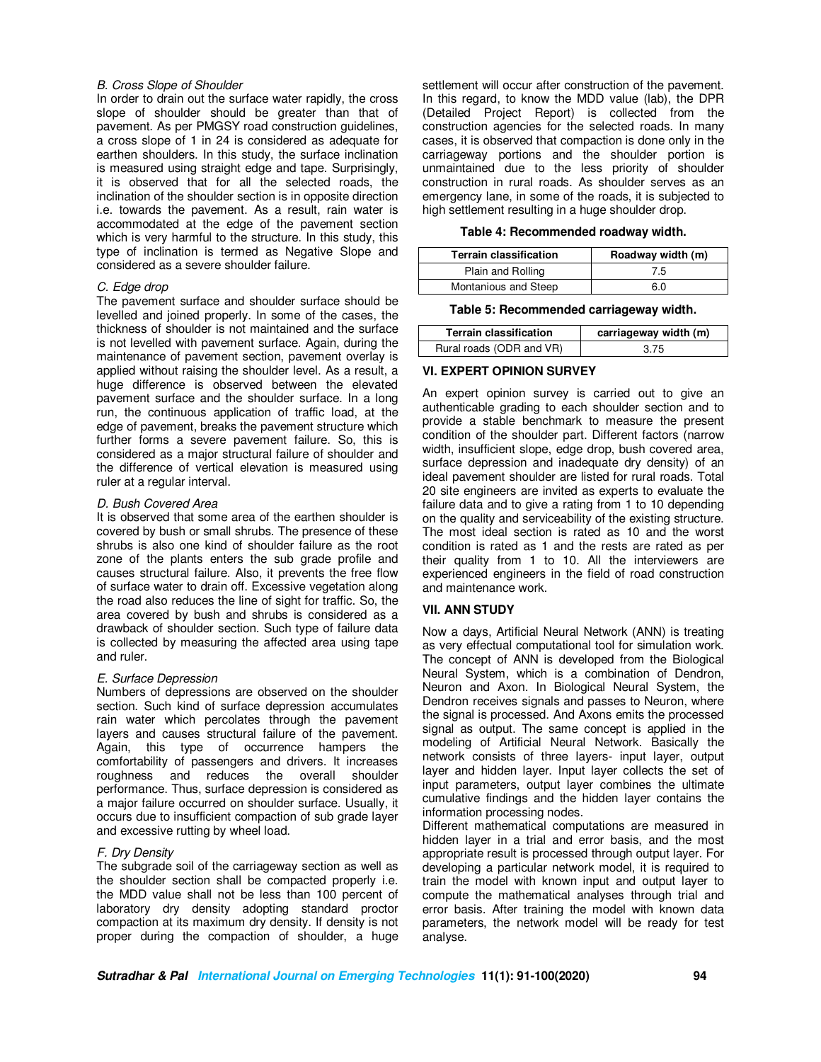#### *B. Cross Slope of Shoulder*

In order to drain out the surface water rapidly, the cross slope of shoulder should be greater than that of pavement. As per PMGSY road construction guidelines, a cross slope of 1 in 24 is considered as adequate for earthen shoulders. In this study, the surface inclination is measured using straight edge and tape. Surprisingly, it is observed that for all the selected roads, the inclination of the shoulder section is in opposite direction i.e. towards the pavement. As a result, rain water is accommodated at the edge of the pavement section which is very harmful to the structure. In this study, this type of inclination is termed as Negative Slope and considered as a severe shoulder failure.

#### *C. Edge drop*

The pavement surface and shoulder surface should be levelled and joined properly. In some of the cases, the thickness of shoulder is not maintained and the surface is not levelled with pavement surface. Again, during the maintenance of pavement section, pavement overlay is applied without raising the shoulder level. As a result, a huge difference is observed between the elevated pavement surface and the shoulder surface. In a long run, the continuous application of traffic load, at the edge of pavement, breaks the pavement structure which further forms a severe pavement failure. So, this is considered as a major structural failure of shoulder and the difference of vertical elevation is measured using ruler at a regular interval.

#### *D. Bush Covered Area*

It is observed that some area of the earthen shoulder is covered by bush or small shrubs. The presence of these shrubs is also one kind of shoulder failure as the root zone of the plants enters the sub grade profile and causes structural failure. Also, it prevents the free flow of surface water to drain off. Excessive vegetation along the road also reduces the line of sight for traffic. So, the area covered by bush and shrubs is considered as a drawback of shoulder section. Such type of failure data is collected by measuring the affected area using tape and ruler.

### *E. Surface Depression*

Numbers of depressions are observed on the shoulder section. Such kind of surface depression accumulates rain water which percolates through the pavement layers and causes structural failure of the pavement. Again, this type of occurrence hampers the comfortability of passengers and drivers. It increases roughness and reduces the overall shoulder performance. Thus, surface depression is considered as a major failure occurred on shoulder surface. Usually, it occurs due to insufficient compaction of sub grade layer and excessive rutting by wheel load.

### *F. Dry Density*

The subgrade soil of the carriageway section as well as the shoulder section shall be compacted properly i.e. the MDD value shall not be less than 100 percent of laboratory dry density adopting standard proctor compaction at its maximum dry density. If density is not proper during the compaction of shoulder, a huge settlement will occur after construction of the pavement. In this regard, to know the MDD value (lab), the DPR (Detailed Project Report) is collected from the construction agencies for the selected roads. In many cases, it is observed that compaction is done only in the carriageway portions and the shoulder portion is unmaintained due to the less priority of shoulder construction in rural roads. As shoulder serves as an emergency lane, in some of the roads, it is subjected to high settlement resulting in a huge shoulder drop.

**Table 4: Recommended roadway width.** 

| <b>Terrain classification</b> | Roadway width (m) |
|-------------------------------|-------------------|
| Plain and Rolling             | 7.5               |
| Montanious and Steep          | 6.0               |

**Table 5: Recommended carriageway width.** 

| <b>Terrain classification</b> | carriageway width (m) |  |  |  |  |
|-------------------------------|-----------------------|--|--|--|--|
| Rural roads (ODR and VR)      | 3.75                  |  |  |  |  |

### **VI. EXPERT OPINION SURVEY**

An expert opinion survey is carried out to give an authenticable grading to each shoulder section and to provide a stable benchmark to measure the present condition of the shoulder part. Different factors (narrow width, insufficient slope, edge drop, bush covered area, surface depression and inadequate dry density) of an ideal pavement shoulder are listed for rural roads. Total 20 site engineers are invited as experts to evaluate the failure data and to give a rating from 1 to 10 depending on the quality and serviceability of the existing structure. The most ideal section is rated as 10 and the worst condition is rated as 1 and the rests are rated as per their quality from 1 to 10. All the interviewers are experienced engineers in the field of road construction and maintenance work.

### **VII. ANN STUDY**

Now a days, Artificial Neural Network (ANN) is treating as very effectual computational tool for simulation work. The concept of ANN is developed from the Biological Neural System, which is a combination of Dendron, Neuron and Axon. In Biological Neural System, the Dendron receives signals and passes to Neuron, where the signal is processed. And Axons emits the processed signal as output. The same concept is applied in the modeling of Artificial Neural Network. Basically the network consists of three layers- input layer, output layer and hidden layer. Input layer collects the set of input parameters, output layer combines the ultimate cumulative findings and the hidden layer contains the information processing nodes.

Different mathematical computations are measured in hidden layer in a trial and error basis, and the most appropriate result is processed through output layer. For developing a particular network model, it is required to train the model with known input and output layer to compute the mathematical analyses through trial and error basis. After training the model with known data parameters, the network model will be ready for test analyse.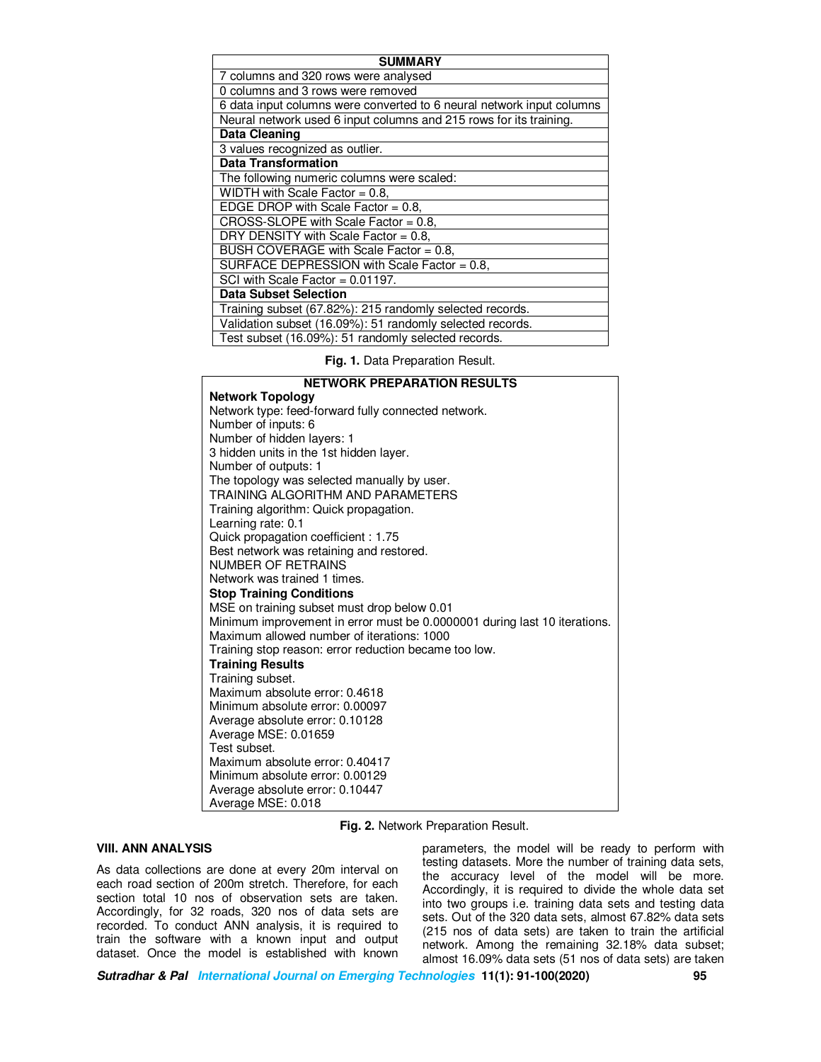| <b>SUMMARY</b>                                                        |
|-----------------------------------------------------------------------|
| 7 columns and 320 rows were analysed                                  |
| 0 columns and 3 rows were removed                                     |
| 6 data input columns were converted to 6 neural network input columns |
| Neural network used 6 input columns and 215 rows for its training.    |
| Data Cleaning                                                         |
| 3 values recognized as outlier.                                       |
| <b>Data Transformation</b>                                            |
| The following numeric columns were scaled:                            |
| WIDTH with Scale Factor $= 0.8$ .                                     |
| EDGE DROP with Scale Factor = $0.8$ ,                                 |
| CROSS-SLOPE with Scale Factor = 0.8,                                  |
| DRY DENSITY with Scale Factor = 0.8,                                  |
| BUSH COVERAGE with Scale Factor = 0.8,                                |
| SURFACE DEPRESSION with Scale Factor = $0.8$ ,                        |
| SCI with Scale Factor = $0.01197$ .                                   |
| <b>Data Subset Selection</b>                                          |
| Training subset (67.82%): 215 randomly selected records.              |
| Validation subset (16.09%): 51 randomly selected records.             |
| Test subset (16.09%): 51 randomly selected records.                   |

| <b>NETWORK PREPARATION RESULTS</b>                                        |
|---------------------------------------------------------------------------|
| <b>Network Topology</b>                                                   |
| Network type: feed-forward fully connected network.                       |
| Number of inputs: 6                                                       |
| Number of hidden layers: 1                                                |
| 3 hidden units in the 1st hidden layer.                                   |
| Number of outputs: 1                                                      |
| The topology was selected manually by user.                               |
| TRAINING AI GORITHM AND PARAMETERS                                        |
| Training algorithm: Quick propagation.                                    |
| Learning rate: 0.1                                                        |
| Quick propagation coefficient: 1.75                                       |
| Best network was retaining and restored.                                  |
| NUMBER OF RETRAINS                                                        |
| Network was trained 1 times.                                              |
| <b>Stop Training Conditions</b>                                           |
| MSE on training subset must drop below 0.01                               |
| Minimum improvement in error must be 0.0000001 during last 10 iterations. |
| Maximum allowed number of iterations: 1000                                |
| Training stop reason: error reduction became too low.                     |
| <b>Training Results</b>                                                   |
| Training subset.<br>Maximum absolute error: 0.4618                        |
| Minimum absolute error: 0.00097                                           |
| Average absolute error: 0.10128                                           |
| Average MSE: 0.01659                                                      |
| Test subset.                                                              |
| Maximum absolute error: 0.40417                                           |
| Minimum absolute error: 0.00129                                           |
| Average absolute error: 0.10447                                           |
| Average MSE: 0.018                                                        |

**Fig. 2.** Network Preparation Result.

## **VIII. ANN ANALYSIS**

As data collections are done at every 20m interval on each road section of 200m stretch. Therefore, for each section total 10 nos of observation sets are taken. Accordingly, for 32 roads, 320 nos of data sets are recorded. To conduct ANN analysis, it is required to train the software with a known input and output dataset. Once the model is established with known

parameters, the model will be ready to perform with testing datasets. More the number of training data sets, the accuracy level of the model will be more. Accordingly, it is required to divide the whole data set into two groups i.e. training data sets and testing data sets. Out of the 320 data sets, almost 67.82% data sets (215 nos of data sets) are taken to train the artificial network. Among the remaining 32.18% data subset; almost 16.09% data sets (51 nos of data sets) are taken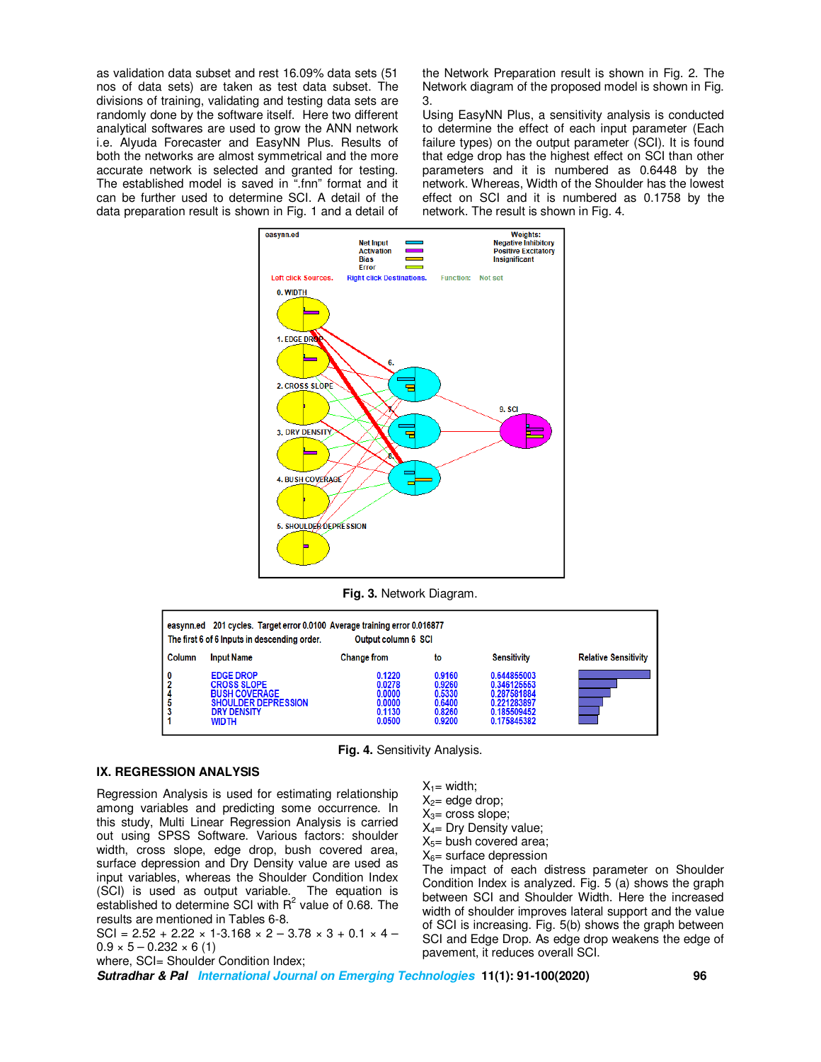as validation data subset and rest 16.09% data sets (51 nos of data sets) are taken as test data subset. The divisions of training, validating and testing data sets are randomly done by the software itself. Here two different analytical softwares are used to grow the ANN network i.e. Alyuda Forecaster and EasyNN Plus. Results of both the networks are almost symmetrical and the more accurate network is selected and granted for testing. The established model is saved in ".fnn" format and it can be further used to determine SCI. A detail of the data preparation result is shown in Fig. 1 and a detail of

the Network Preparation result is shown in Fig. 2. The Network diagram of the proposed model is shown in Fig. 3.

Using EasyNN Plus, a sensitivity analysis is conducted to determine the effect of each input parameter (Each failure types) on the output parameter (SCI). It is found that edge drop has the highest effect on SCI than other parameters and it is numbered as 0.6448 by the network. Whereas, Width of the Shoulder has the lowest effect on SCI and it is numbered as 0.1758 by the network. The result is shown in Fig. 4.



**Fig. 3.** Network Diagram.

| The first 6 of 6 Inputs in descending order.<br>Output column 6 SCI |                                                                                                                                    |                                                          |                                                          |                                                                                        |                             |  |  |  |
|---------------------------------------------------------------------|------------------------------------------------------------------------------------------------------------------------------------|----------------------------------------------------------|----------------------------------------------------------|----------------------------------------------------------------------------------------|-----------------------------|--|--|--|
| Column                                                              | <b>Input Name</b>                                                                                                                  | <b>Change from</b>                                       | to                                                       | <b>Sensitivity</b>                                                                     | <b>Relative Sensitivity</b> |  |  |  |
|                                                                     | <b>EDGE DROP</b><br><b>CROSS SLOPE</b><br><b>BUSH COVERAGE</b><br><b>SHOULDER DEPRESSION</b><br><b>DRY DENSITY</b><br><b>WIDTH</b> | 0.1220<br>0.0278<br>0.0000<br>0.0000<br>0.1130<br>0.0500 | 0.9160<br>0.9260<br>0.5330<br>0.6400<br>0.8260<br>0.9200 | 0.644855003<br>0.346125553<br>0.287581884<br>0.221283897<br>0.185509452<br>0.175845382 |                             |  |  |  |

**Fig. 4.** Sensitivity Analysis.

#### **IX. REGRESSION ANALYSIS**

Regression Analysis is used for estimating relationship among variables and predicting some occurrence. In this study, Multi Linear Regression Analysis is carried out using SPSS Software. Various factors: shoulder width, cross slope, edge drop, bush covered area, surface depression and Dry Density value are used as input variables, whereas the Shoulder Condition Index (SCI) is used as output variable. The equation is established to determine SCI with  $R^2$  value of 0.68. The results are mentioned in Tables 6-8.

SCI =  $2.52 + 2.22 \times 1 - 3.168 \times 2 - 3.78 \times 3 + 0.1 \times 4 0.9 \times 5 - 0.232 \times 6(1)$ 

where, SCI= Shoulder Condition Index;

 $X_1 = \text{width}$ ;  $X_{2}=$  edge drop;  $X_3$ = cross slope;

 $X_4$ = Dry Density value;

 $X_5$ = bush covered area;

 $X_6$ = surface depression

The impact of each distress parameter on Shoulder Condition Index is analyzed. Fig. 5 (a) shows the graph between SCI and Shoulder Width. Here the increased width of shoulder improves lateral support and the value of SCI is increasing. Fig. 5(b) shows the graph between SCI and Edge Drop. As edge drop weakens the edge of pavement, it reduces overall SCI.

**Sutradhar & Pal International Journal on Emerging Technologies 11(1): 91-100(2020) 96**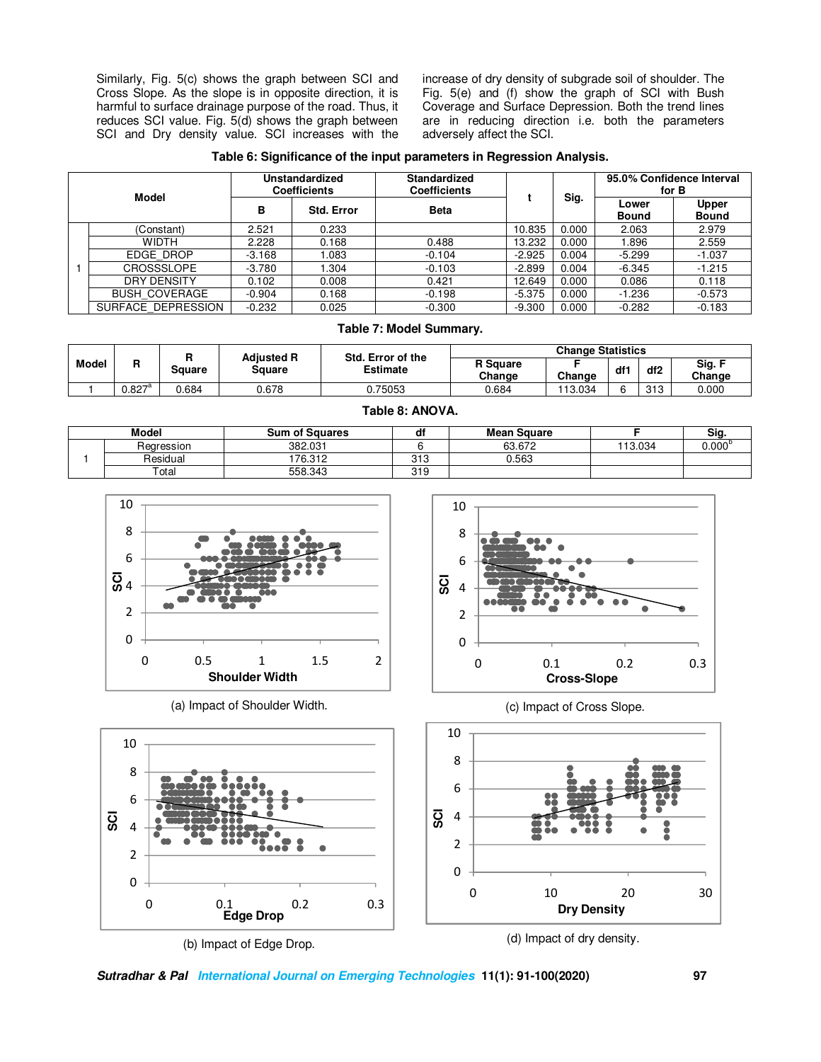Similarly, Fig. 5(c) shows the graph between SCI and Cross Slope. As the slope is in opposite direction, it is harmful to surface drainage purpose of the road. Thus, it reduces SCI value. Fig.  $\bar{5}$ (d) shows the graph between SCI and Dry density value. SCI increases with the

increase of dry density of subgrade soil of shoulder. The Fig. 5(e) and (f) show the graph of SCI with Bush Coverage and Surface Depression. Both the trend lines are in reducing direction i.e. both the parameters adversely affect the SCI.

| Table 6: Significance of the input parameters in Regression Analysis. |  |  |
|-----------------------------------------------------------------------|--|--|
|                                                                       |  |  |

| Model |                               | Unstandardized<br><b>Coefficients</b> |                   | <b>Standardized</b><br><b>Coefficients</b> |          |       | 95.0% Confidence Interval<br>for B |                       |  |
|-------|-------------------------------|---------------------------------------|-------------------|--------------------------------------------|----------|-------|------------------------------------|-----------------------|--|
|       |                               | в                                     | <b>Std. Error</b> | <b>Beta</b>                                |          | Sig.  | Lower<br>Bound                     | <b>Upper</b><br>Bound |  |
|       | (Constant)                    | 2.521                                 | 0.233             |                                            | 10.835   | 0.000 | 2.063                              | 2.979                 |  |
|       | <b>WIDTH</b>                  | 2.228                                 | 0.168             | 0.488                                      | 13.232   | 0.000 | 1.896                              | 2.559                 |  |
|       | EDGE DROP<br>$-3.168$         |                                       | 1.083             | $-0.104$                                   | $-2.925$ | 0.004 | $-5.299$                           | $-1.037$              |  |
|       | CROSSSLOPE                    | $-3.780$                              | 1.304             | $-0.103$                                   | $-2.899$ | 0.004 | $-6.345$                           | $-1.215$              |  |
|       | DRY DENSITY<br>0.102<br>0.008 |                                       |                   | 0.421                                      | 12.649   | 0.000 | 0.086                              | 0.118                 |  |
|       | <b>BUSH COVERAGE</b>          | $-0.904$                              | 0.168             | $-0.198$                                   | $-5.375$ | 0.000 | $-1.236$                           | $-0.573$              |  |
|       | SURFACE DEPRESSION            | $-0.232$                              | 0.025             | $-0.300$                                   | $-9.300$ | 0.000 | $-0.282$                           | $-0.183$              |  |

#### **Table 7: Model Summary.**

| Model |               | <b>Adiusted R</b><br>Std. Error of the |               |                 | <b>Change Statistics</b>  |         |                 |                 |                  |
|-------|---------------|----------------------------------------|---------------|-----------------|---------------------------|---------|-----------------|-----------------|------------------|
|       | n             | Sauare                                 | <b>Square</b> | <b>Estimate</b> | <b>R</b> Square<br>Change | Change  | df <sup>-</sup> | df <sub>2</sub> | Sig. F<br>Change |
|       | $0.827^\circ$ | 0.684                                  | 0.678         | .75053          | 0.684                     | 113.034 |                 | 313             | 0.000            |

| Model       | <b>Sum of Squares</b> | dt  | <b>Mean Square</b> |         | Sig.          |
|-------------|-----------------------|-----|--------------------|---------|---------------|
| Regression  | 382.031               |     | 63.672             | 113.034 | $0.000^\circ$ |
| Residual    | 176.312               | 313 | 0.563              |         |               |
| $\tau$ otal | 558.343               | 319 |                    |         |               |







(c) Impact of Cross Slope.



**Sutradhar & Pal International Journal on Emerging Technologies 11(1): 91-100(2020) 97**

#### **Table 8: ANOVA.**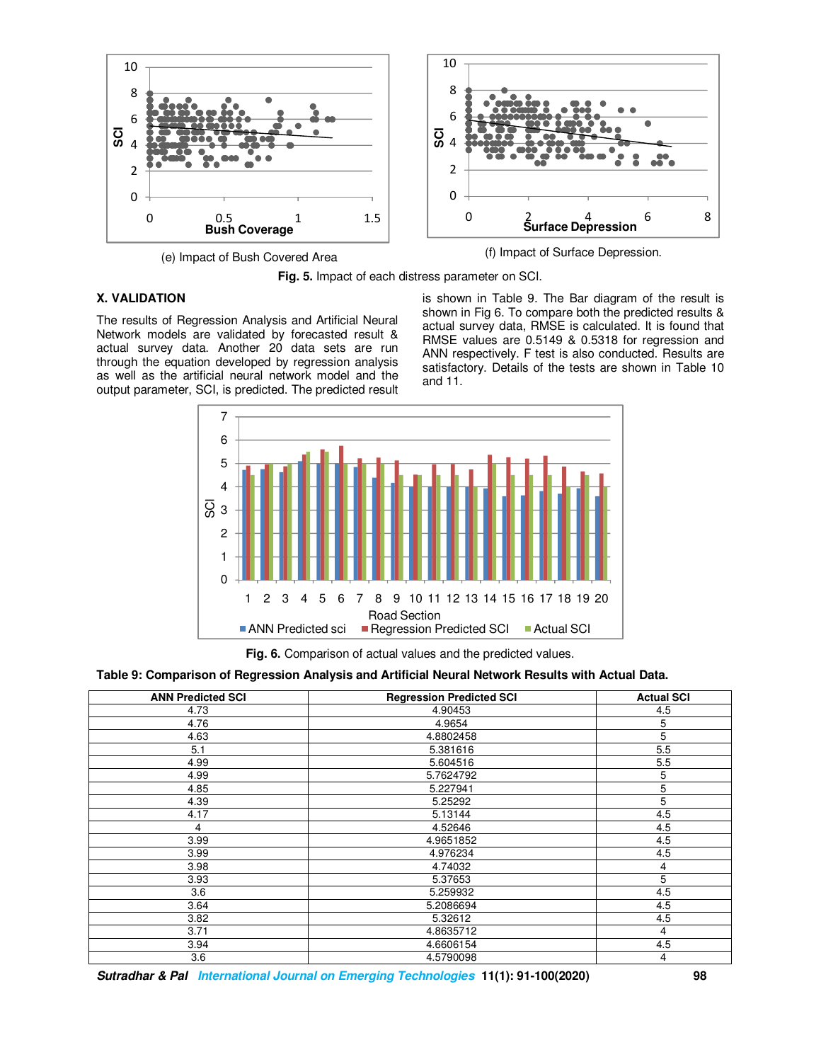

(e) Impact of Bush Covered Area (f) Impact of Surface Depression.

**Fig. 5.** Impact of each distress parameter on SCI.

## **X. VALIDATION**

The results of Regression Analysis and Artificial Neural Network models are validated by forecasted result & actual survey data. Another 20 data sets are run through the equation developed by regression analysis as well as the artificial neural network model and the output parameter, SCI, is predicted. The predicted result

is shown in Table 9. The Bar diagram of the result is shown in Fig 6. To compare both the predicted results & actual survey data, RMSE is calculated. It is found that RMSE values are 0.5149 & 0.5318 for regression and ANN respectively. F test is also conducted. Results are satisfactory. Details of the tests are shown in Table 10 and 11.



**Fig. 6.** Comparison of actual values and the predicted values.

### **Table 9: Comparison of Regression Analysis and Artificial Neural Network Results with Actual Data.**

| <b>ANN Predicted SCI</b> | <b>Regression Predicted SCI</b> | <b>Actual SCI</b> |
|--------------------------|---------------------------------|-------------------|
| 4.73                     | 4.90453                         | 4.5               |
| 4.76                     | 4.9654                          | 5                 |
| 4.63                     | 4.8802458                       | 5                 |
| 5.1                      | 5.381616                        | 5.5               |
| 4.99                     | 5.604516                        | 5.5               |
| 4.99                     | 5.7624792                       | 5                 |
| 4.85                     | 5.227941                        | 5                 |
| 4.39                     | 5.25292                         | 5                 |
| 4.17                     | 5.13144                         | 4.5               |
| $\overline{4}$           | 4.52646                         | 4.5               |
| 3.99                     | 4.9651852                       | 4.5               |
| 3.99                     | 4.976234                        | 4.5               |
| 3.98                     | 4.74032                         | 4                 |
| 3.93                     | 5.37653                         | 5                 |
| 3.6                      | 5.259932                        | 4.5               |
| 3.64                     | 5.2086694                       | 4.5               |
| 3.82                     | 5.32612                         | 4.5               |
| 3.71                     | 4.8635712                       | 4                 |
| 3.94                     | 4.6606154                       | 4.5               |
| 3.6                      | 4.5790098                       | 4                 |

**Sutradhar & Pal International Journal on Emerging Technologies 11(1): 91-100(2020) 98**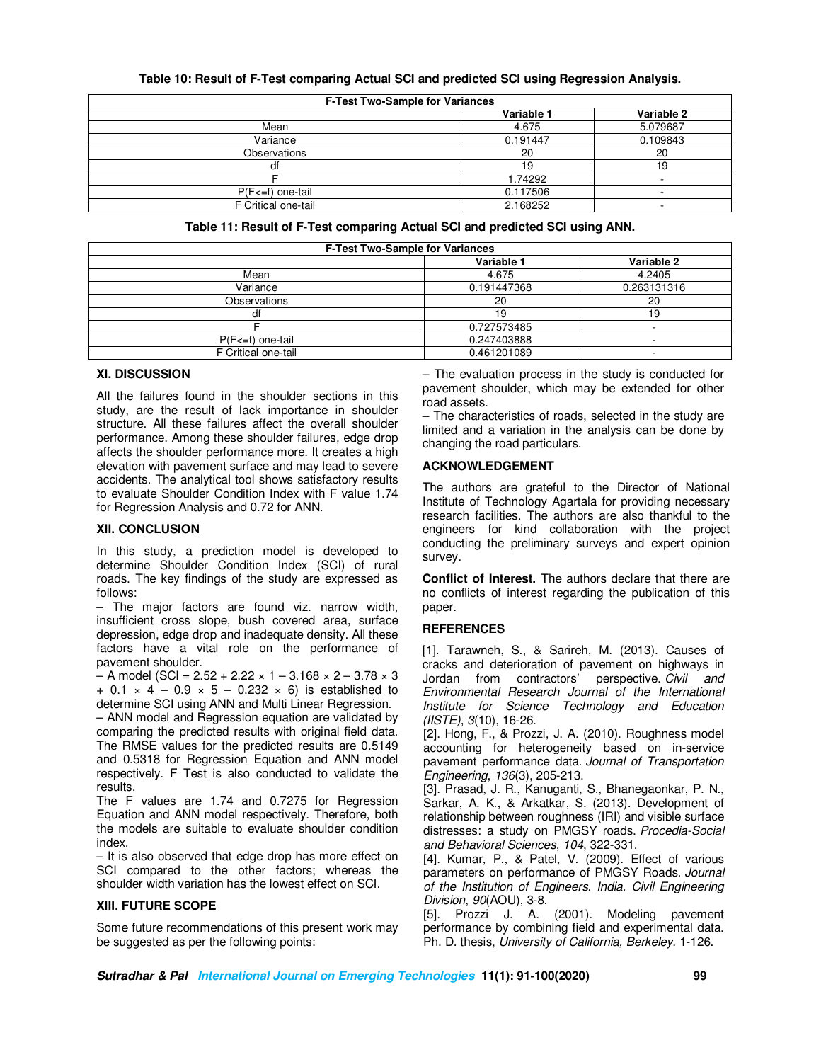| <b>F-Test Two-Sample for Variances</b> |            |            |  |  |  |
|----------------------------------------|------------|------------|--|--|--|
|                                        | Variable 1 | Variable 2 |  |  |  |
| Mean                                   | 4.675      | 5.079687   |  |  |  |
| Variance                               | 0.191447   | 0.109843   |  |  |  |
| Observations                           | 20         | 20         |  |  |  |
|                                        | 19         | 19         |  |  |  |
|                                        | 1.74292    |            |  |  |  |
| $P(F \le f)$ one-tail                  | 0.117506   |            |  |  |  |
| F Critical one-tail                    | 2.168252   | -          |  |  |  |

#### **Table 10: Result of F-Test comparing Actual SCI and predicted SCI using Regression Analysis.**

| Table 11: Result of F-Test comparing Actual SCI and predicted SCI using ANN. |  |  |
|------------------------------------------------------------------------------|--|--|
|                                                                              |  |  |

| <b>F-Test Two-Sample for Variances</b> |             |                          |  |  |
|----------------------------------------|-------------|--------------------------|--|--|
|                                        | Variable 1  | Variable 2               |  |  |
| Mean                                   | 4.675       | 4.2405                   |  |  |
| Variance                               | 0.191447368 | 0.263131316              |  |  |
| Observations                           | 20          | 20                       |  |  |
| df                                     | 19          | 19                       |  |  |
|                                        | 0.727573485 |                          |  |  |
| $P(F \le f)$ one-tail                  | 0.247403888 | $\overline{\phantom{a}}$ |  |  |
| F Critical one-tail                    | 0.461201089 |                          |  |  |

### **XI. DISCUSSION**

All the failures found in the shoulder sections in this study, are the result of lack importance in shoulder structure. All these failures affect the overall shoulder performance. Among these shoulder failures, edge drop affects the shoulder performance more. It creates a high elevation with pavement surface and may lead to severe accidents. The analytical tool shows satisfactory results to evaluate Shoulder Condition Index with F value 1.74 for Regression Analysis and 0.72 for ANN.

#### **XII. CONCLUSION**

In this study, a prediction model is developed to determine Shoulder Condition Index (SCI) of rural roads. The key findings of the study are expressed as follows:

– The major factors are found viz. narrow width, insufficient cross slope, bush covered area, surface depression, edge drop and inadequate density. All these factors have a vital role on the performance of pavement shoulder.

 $-$  A model (SCI = 2.52 + 2.22  $\times$  1 – 3.168  $\times$  2 – 3.78  $\times$  3  $+ 0.1 \times 4 - 0.9 \times 5 - 0.232 \times 6$  is established to determine SCI using ANN and Multi Linear Regression.

– ANN model and Regression equation are validated by comparing the predicted results with original field data. The RMSE values for the predicted results are 0.5149 and 0.5318 for Regression Equation and ANN model respectively. F Test is also conducted to validate the results.

The F values are 1.74 and 0.7275 for Regression Equation and ANN model respectively. Therefore, both the models are suitable to evaluate shoulder condition index.

– It is also observed that edge drop has more effect on SCI compared to the other factors; whereas the shoulder width variation has the lowest effect on SCI.

### **XIII. FUTURE SCOPE**

Some future recommendations of this present work may be suggested as per the following points:

– The evaluation process in the study is conducted for pavement shoulder, which may be extended for other road assets.

– The characteristics of roads, selected in the study are limited and a variation in the analysis can be done by changing the road particulars.

#### **ACKNOWLEDGEMENT**

The authors are grateful to the Director of National Institute of Technology Agartala for providing necessary research facilities. The authors are also thankful to the engineers for kind collaboration with the project conducting the preliminary surveys and expert opinion survey.

**Conflict of Interest.** The authors declare that there are no conflicts of interest regarding the publication of this paper.

### **REFERENCES**

[1]. Tarawneh, S., & Sarireh, M. (2013). Causes of cracks and deterioration of pavement on highways in Jordan from contractors' perspective. *Civil and Environmental Research Journal of the International Institute for Science Technology and Education (IISTE)*, *3*(10), 16-26.

[2]. Hong, F., & Prozzi, J. A. (2010). Roughness model accounting for heterogeneity based on in-service pavement performance data. *Journal of Transportation Engineering*, *136*(3), 205-213.

[3]. Prasad, J. R., Kanuganti, S., Bhanegaonkar, P. N., Sarkar, A. K., & Arkatkar, S. (2013). Development of relationship between roughness (IRI) and visible surface distresses: a study on PMGSY roads. *Procedia-Social and Behavioral Sciences*, *104*, 322-331.

[4]. Kumar, P., & Patel, V. (2009). Effect of various parameters on performance of PMGSY Roads. *Journal of the Institution of Engineers. India. Civil Engineering Division*, *90*(AOU), 3-8.

[5]. Prozzi J. A. (2001). Modeling pavement performance by combining field and experimental data. Ph. D. thesis, *University of California, Berkeley*. 1-126.